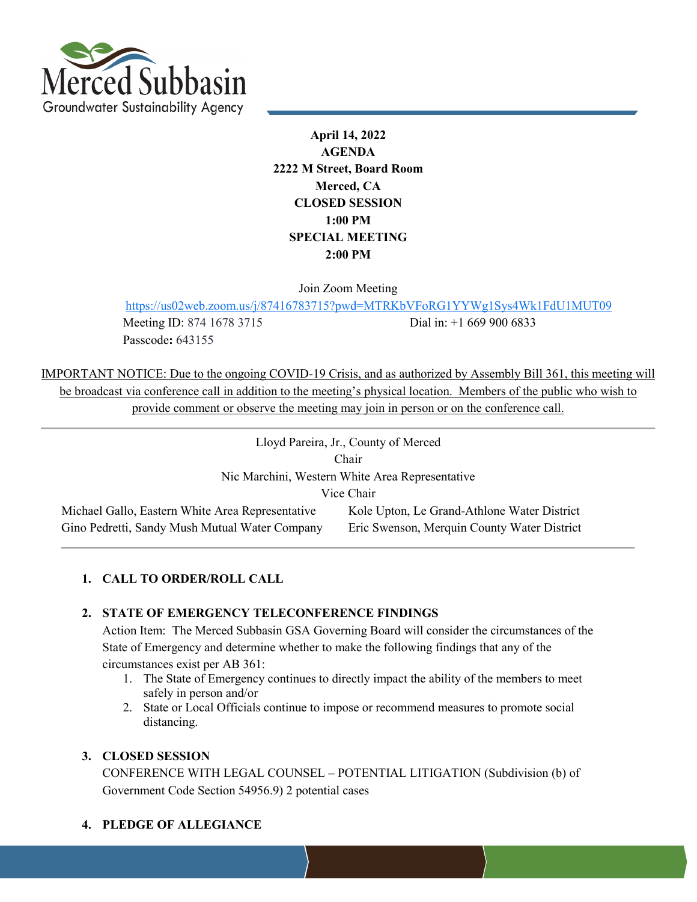

**April 14, 2022 AGENDA 2222 M Street, Board Room Merced, CA CLOSED SESSION 1:00 PM SPECIAL MEETING 2:00 PM**

Join Zoom Meeting

<https://us02web.zoom.us/j/87416783715?pwd=MTRKbVFoRG1YYWg1Sys4Wk1FdU1MUT09>

Passcode**:** 643155

Meeting ID: 874 1678 3715 Dial in: +1 669 900 6833

IMPORTANT NOTICE: Due to the ongoing COVID-19 Crisis, and as authorized by Assembly Bill 361, this meeting will be broadcast via conference call in addition to the meeting's physical location. Members of the public who wish to provide comment or observe the meeting may join in person or on the conference call.

| Lloyd Pareira, Jr., County of Merced             |                                             |  |  |  |  |  |
|--------------------------------------------------|---------------------------------------------|--|--|--|--|--|
| Chair                                            |                                             |  |  |  |  |  |
| Nic Marchini, Western White Area Representative  |                                             |  |  |  |  |  |
| Vice Chair                                       |                                             |  |  |  |  |  |
| Michael Gallo, Eastern White Area Representative | Kole Upton, Le Grand-Athlone Water District |  |  |  |  |  |
| Gino Pedretti, Sandy Mush Mutual Water Company   | Eric Swenson, Merquin County Water District |  |  |  |  |  |

# **1. CALL TO ORDER/ROLL CALL**

# **2. STATE OF EMERGENCY TELECONFERENCE FINDINGS**

Action Item: The Merced Subbasin GSA Governing Board will consider the circumstances of the State of Emergency and determine whether to make the following findings that any of the circumstances exist per AB 361:

- 1. The State of Emergency continues to directly impact the ability of the members to meet safely in person and/or
- 2. State or Local Officials continue to impose or recommend measures to promote social distancing.

#### **3. CLOSED SESSION**

CONFERENCE WITH LEGAL COUNSEL – POTENTIAL LITIGATION (Subdivision (b) of Government Code Section 54956.9) 2 potential cases

**4. PLEDGE OF ALLEGIANCE**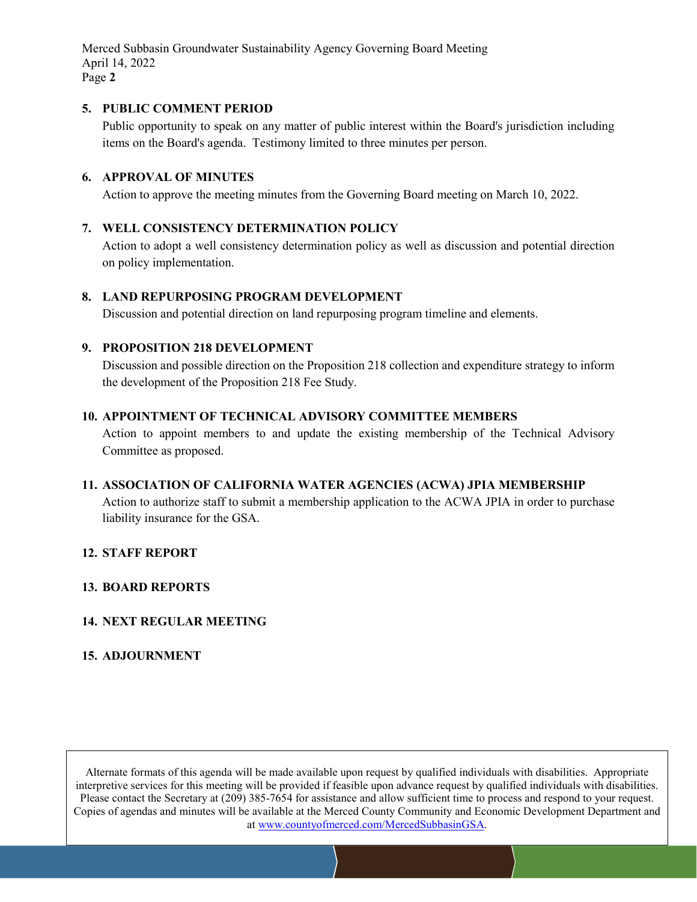Merced Subbasin Groundwater Sustainability Agency Governing Board Meeting April 14, 2022 Page **2**

#### **5. PUBLIC COMMENT PERIOD**

Public opportunity to speak on any matter of public interest within the Board's jurisdiction including items on the Board's agenda. Testimony limited to three minutes per person.

# **6. APPROVAL OF MINUTES**

Action to approve the meeting minutes from the Governing Board meeting on March 10, 2022.

# **7. WELL CONSISTENCY DETERMINATION POLICY**

Action to adopt a well consistency determination policy as well as discussion and potential direction on policy implementation.

#### **8. LAND REPURPOSING PROGRAM DEVELOPMENT**

Discussion and potential direction on land repurposing program timeline and elements.

#### **9. PROPOSITION 218 DEVELOPMENT**

Discussion and possible direction on the Proposition 218 collection and expenditure strategy to inform the development of the Proposition 218 Fee Study.

#### **10. APPOINTMENT OF TECHNICAL ADVISORY COMMITTEE MEMBERS**

Action to appoint members to and update the existing membership of the Technical Advisory Committee as proposed.

# **11. ASSOCIATION OF CALIFORNIA WATER AGENCIES (ACWA) JPIA MEMBERSHIP**

Action to authorize staff to submit a membership application to the ACWA JPIA in order to purchase liability insurance for the GSA.

#### **12. STAFF REPORT**

#### **13. BOARD REPORTS**

# **14. NEXT REGULAR MEETING**

# **15. ADJOURNMENT**

Alternate formats of this agenda will be made available upon request by qualified individuals with disabilities. Appropriate interpretive services for this meeting will be provided if feasible upon advance request by qualified individuals with disabilities. Please contact the Secretary at (209) 385-7654 for assistance and allow sufficient time to process and respond to your request. Copies of agendas and minutes will be available at the Merced County Community and Economic Development Department and at www.countyofmerced.com/MercedSubbasinGSA.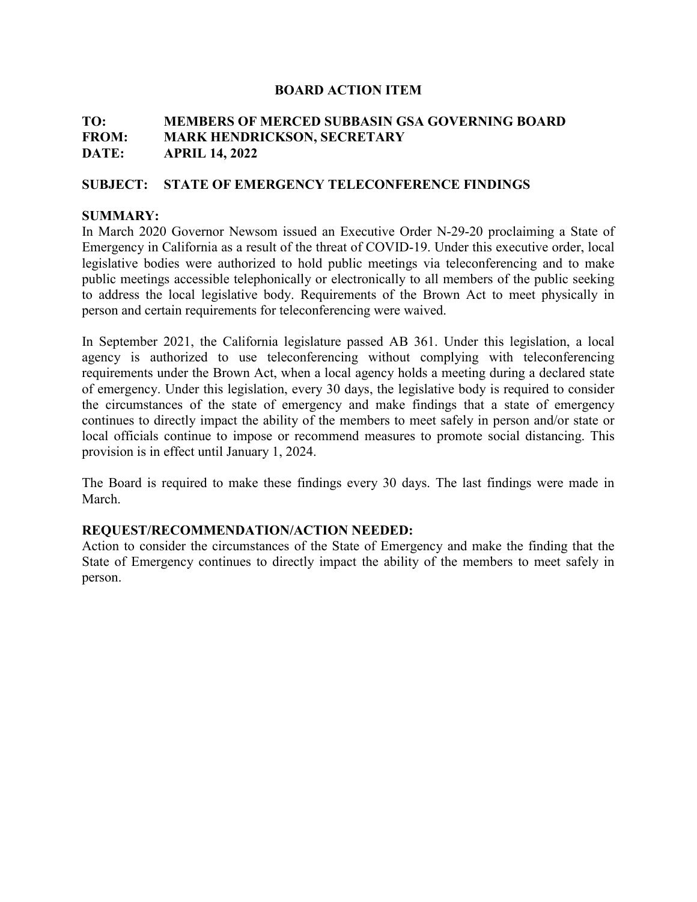# **TO: MEMBERS OF MERCED SUBBASIN GSA GOVERNING BOARD FROM: MARK HENDRICKSON, SECRETARY DATE: APRIL 14, 2022**

# **SUBJECT: STATE OF EMERGENCY TELECONFERENCE FINDINGS**

# **SUMMARY:**

In March 2020 Governor Newsom issued an Executive Order N-29-20 proclaiming a State of Emergency in California as a result of the threat of COVID-19. Under this executive order, local legislative bodies were authorized to hold public meetings via teleconferencing and to make public meetings accessible telephonically or electronically to all members of the public seeking to address the local legislative body. Requirements of the Brown Act to meet physically in person and certain requirements for teleconferencing were waived.

In September 2021, the California legislature passed AB 361. Under this legislation, a local agency is authorized to use teleconferencing without complying with teleconferencing requirements under the Brown Act, when a local agency holds a meeting during a declared state of emergency. Under this legislation, every 30 days, the legislative body is required to consider the circumstances of the state of emergency and make findings that a state of emergency continues to directly impact the ability of the members to meet safely in person and/or state or local officials continue to impose or recommend measures to promote social distancing. This provision is in effect until January 1, 2024.

The Board is required to make these findings every 30 days. The last findings were made in March.

# **REQUEST/RECOMMENDATION/ACTION NEEDED:**

Action to consider the circumstances of the State of Emergency and make the finding that the State of Emergency continues to directly impact the ability of the members to meet safely in person.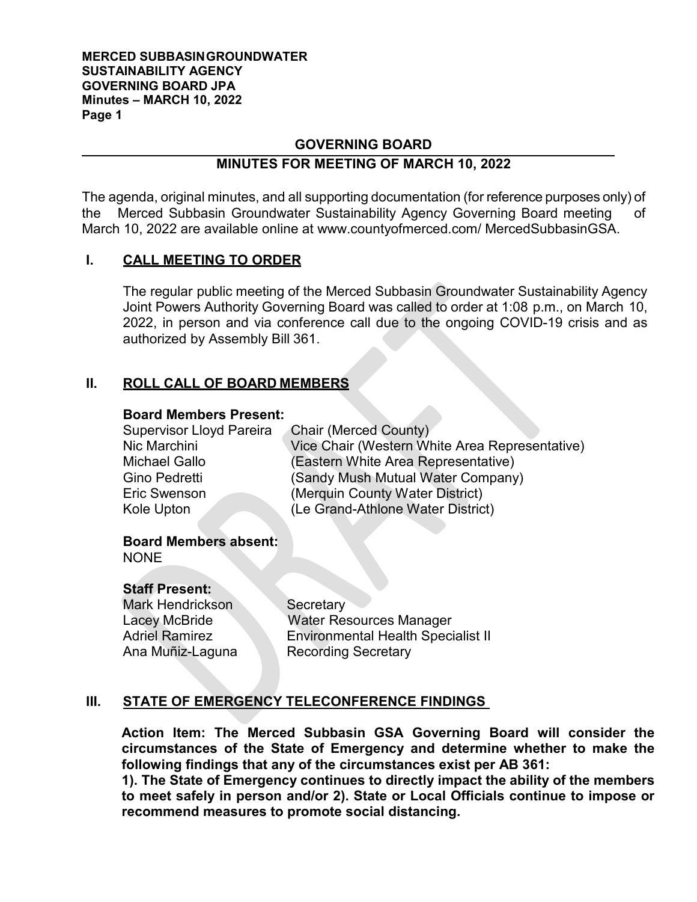#### **MERCED SUBBASINGROUNDWATER SUSTAINABILITY AGENCY GOVERNING BOARD JPA Minutes – MARCH 10, 2022 Page 1**

# **GOVERNING BOARD**

# **MINUTES FOR MEETING OF MARCH 10, 2022**

The agenda, original minutes, and all supporting documentation (for reference purposes only) of the Merced Subbasin Groundwater Sustainability Agency Governing Board meeting of March 10, 2022 are available online at [www.countyofmerced.com/](http://www.countyofmerced.com/) MercedSubbasinGSA.

# **I. CALL MEETING TO ORDER**

The regular public meeting of the Merced Subbasin Groundwater Sustainability Agency Joint Powers Authority Governing Board was called to order at 1:08 p.m., on March 10, 2022, in person and via conference call due to the ongoing COVID-19 crisis and as authorized by Assembly Bill 361.

# **II. ROLL CALL OF BOARD MEMBERS**

#### **Board Members Present:**

| <b>Supervisor Lloyd Pareira</b> | <b>Chair (Merced County)</b>                   |
|---------------------------------|------------------------------------------------|
| Nic Marchini                    | Vice Chair (Western White Area Representative) |
| <b>Michael Gallo</b>            | (Eastern White Area Representative)            |
| Gino Pedretti                   | (Sandy Mush Mutual Water Company)              |
| <b>Eric Swenson</b>             | (Merquin County Water District)                |
| Kole Upton                      | (Le Grand-Athlone Water District)              |

#### **Board Members absent: NONE**

# **Staff Present:**

Mark Hendrickson Secretary

Lacey McBride Water Resources Manager Adriel Ramirez **Environmental Health Specialist II** Ana Muñiz-Laguna Recording Secretary

# **III. STATE OF EMERGENCY TELECONFERENCE FINDINGS**

**Action Item: The Merced Subbasin GSA Governing Board will consider the circumstances of the State of Emergency and determine whether to make the following findings that any of the circumstances exist per AB 361:**

**1). The State of Emergency continues to directly impact the ability of the members to meet safely in person and/or 2). State or Local Officials continue to impose or recommend measures to promote social distancing.**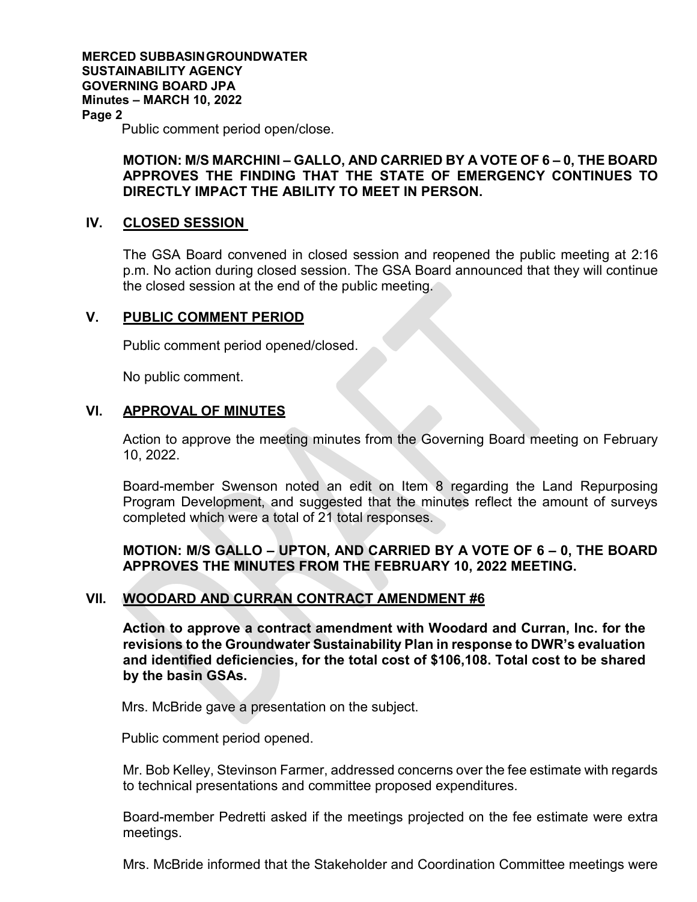**MERCED SUBBASINGROUNDWATER SUSTAINABILITY AGENCY GOVERNING BOARD JPA Minutes – MARCH 10, 2022 Page 2** Public comment period open/close.

# **MOTION: M/S MARCHINI – GALLO, AND CARRIED BY A VOTE OF 6 – 0, THE BOARD APPROVES THE FINDING THAT THE STATE OF EMERGENCY CONTINUES TO DIRECTLY IMPACT THE ABILITY TO MEET IN PERSON.**

# **IV. CLOSED SESSION**

The GSA Board convened in closed session and reopened the public meeting at 2:16 p.m. No action during closed session. The GSA Board announced that they will continue the closed session at the end of the public meeting.

# **V. PUBLIC COMMENT PERIOD**

Public comment period opened/closed.

No public comment.

# **VI. APPROVAL OF MINUTES**

Action to approve the meeting minutes from the Governing Board meeting on February 10, 2022.

Board-member Swenson noted an edit on Item 8 regarding the Land Repurposing Program Development, and suggested that the minutes reflect the amount of surveys completed which were a total of 21 total responses.

# **MOTION: M/S GALLO – UPTON, AND CARRIED BY A VOTE OF 6 – 0, THE BOARD APPROVES THE MINUTES FROM THE FEBRUARY 10, 2022 MEETING.**

# **VII. WOODARD AND CURRAN CONTRACT AMENDMENT #6**

**Action to approve a contract amendment with Woodard and Curran, Inc. for the revisions to the Groundwater Sustainability Plan in response to DWR's evaluation and identified deficiencies, for the total cost of \$106,108. Total cost to be shared by the basin GSAs.** 

Mrs. McBride gave a presentation on the subject.

Public comment period opened.

Mr. Bob Kelley, Stevinson Farmer, addressed concerns over the fee estimate with regards to technical presentations and committee proposed expenditures.

Board-member Pedretti asked if the meetings projected on the fee estimate were extra meetings.

Mrs. McBride informed that the Stakeholder and Coordination Committee meetings were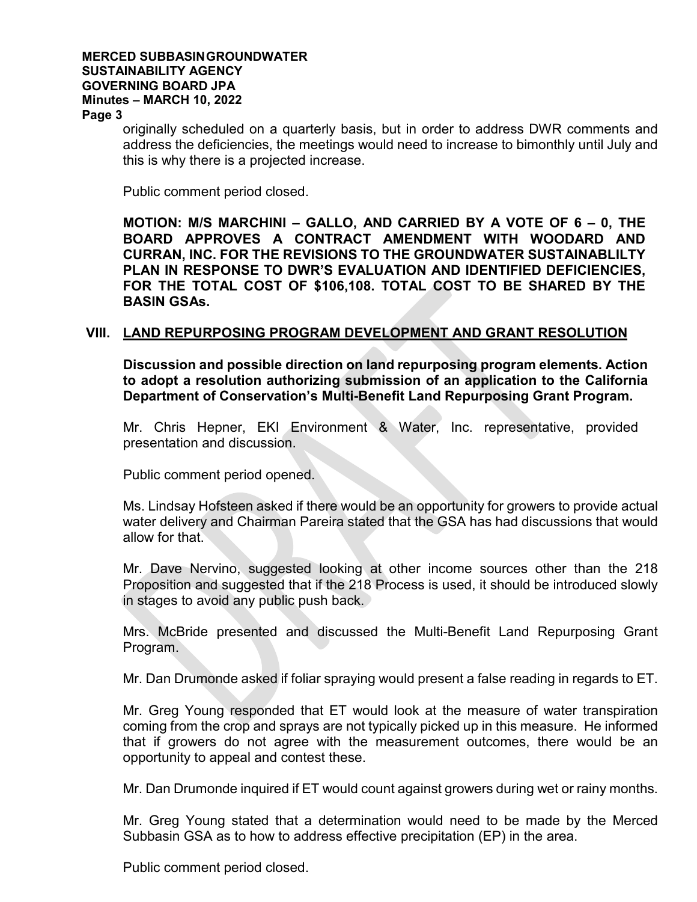# **MERCED SUBBASINGROUNDWATER SUSTAINABILITY AGENCY GOVERNING BOARD JPA Minutes – MARCH 10, 2022**

**Page 3**

originally scheduled on a quarterly basis, but in order to address DWR comments and address the deficiencies, the meetings would need to increase to bimonthly until July and this is why there is a projected increase.

Public comment period closed.

**MOTION: M/S MARCHINI – GALLO, AND CARRIED BY A VOTE OF 6 – 0, THE BOARD APPROVES A CONTRACT AMENDMENT WITH WOODARD AND CURRAN, INC. FOR THE REVISIONS TO THE GROUNDWATER SUSTAINABLILTY PLAN IN RESPONSE TO DWR'S EVALUATION AND IDENTIFIED DEFICIENCIES, FOR THE TOTAL COST OF \$106,108. TOTAL COST TO BE SHARED BY THE BASIN GSAs.** 

# **VIII. LAND REPURPOSING PROGRAM DEVELOPMENT AND GRANT RESOLUTION**

**Discussion and possible direction on land repurposing program elements. Action to adopt a resolution authorizing submission of an application to the California Department of Conservation's Multi-Benefit Land Repurposing Grant Program.** 

Mr. Chris Hepner, EKI Environment & Water, Inc. representative, provided presentation and discussion.

Public comment period opened.

Ms. Lindsay Hofsteen asked if there would be an opportunity for growers to provide actual water delivery and Chairman Pareira stated that the GSA has had discussions that would allow for that.

Mr. Dave Nervino, suggested looking at other income sources other than the 218 Proposition and suggested that if the 218 Process is used, it should be introduced slowly in stages to avoid any public push back.

Mrs. McBride presented and discussed the Multi-Benefit Land Repurposing Grant Program.

Mr. Dan Drumonde asked if foliar spraying would present a false reading in regards to ET.

Mr. Greg Young responded that ET would look at the measure of water transpiration coming from the crop and sprays are not typically picked up in this measure. He informed that if growers do not agree with the measurement outcomes, there would be an opportunity to appeal and contest these.

Mr. Dan Drumonde inquired if ET would count against growers during wet or rainy months.

Mr. Greg Young stated that a determination would need to be made by the Merced Subbasin GSA as to how to address effective precipitation (EP) in the area.

Public comment period closed.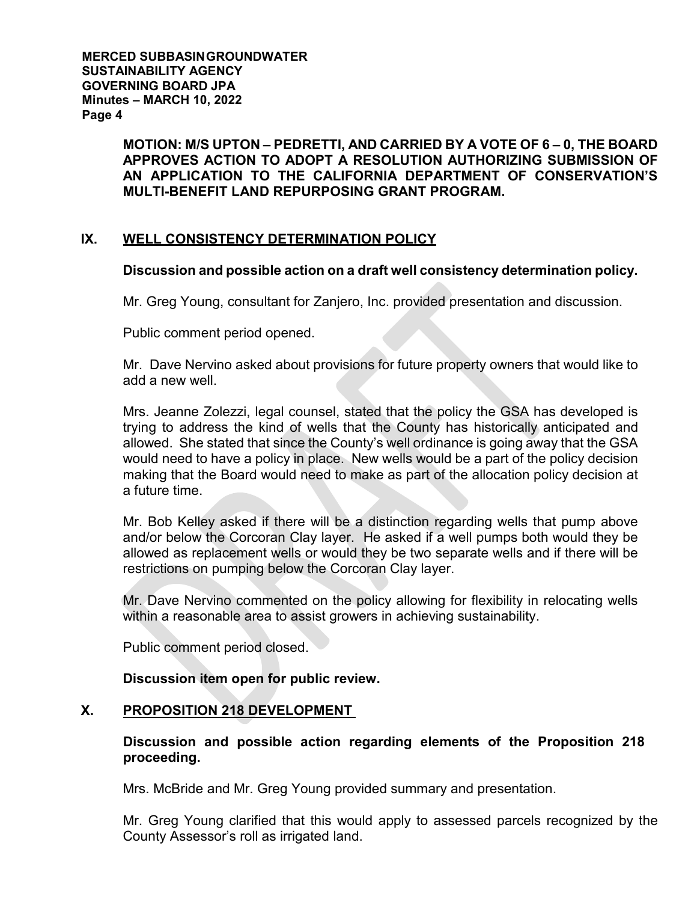**MERCED SUBBASINGROUNDWATER SUSTAINABILITY AGENCY GOVERNING BOARD JPA Minutes – MARCH 10, 2022 Page 4**

> **MOTION: M/S UPTON – PEDRETTI, AND CARRIED BY A VOTE OF 6 – 0, THE BOARD APPROVES ACTION TO ADOPT A RESOLUTION AUTHORIZING SUBMISSION OF AN APPLICATION TO THE CALIFORNIA DEPARTMENT OF CONSERVATION'S MULTI-BENEFIT LAND REPURPOSING GRANT PROGRAM.**

# **IX. WELL CONSISTENCY DETERMINATION POLICY**

# **Discussion and possible action on a draft well consistency determination policy.**

Mr. Greg Young, consultant for Zanjero, Inc. provided presentation and discussion.

Public comment period opened.

Mr. Dave Nervino asked about provisions for future property owners that would like to add a new well.

Mrs. Jeanne Zolezzi, legal counsel, stated that the policy the GSA has developed is trying to address the kind of wells that the County has historically anticipated and allowed. She stated that since the County's well ordinance is going away that the GSA would need to have a policy in place. New wells would be a part of the policy decision making that the Board would need to make as part of the allocation policy decision at a future time.

Mr. Bob Kelley asked if there will be a distinction regarding wells that pump above and/or below the Corcoran Clay layer. He asked if a well pumps both would they be allowed as replacement wells or would they be two separate wells and if there will be restrictions on pumping below the Corcoran Clay layer.

Mr. Dave Nervino commented on the policy allowing for flexibility in relocating wells within a reasonable area to assist growers in achieving sustainability.

Public comment period closed.

**Discussion item open for public review.** 

# **X. PROPOSITION 218 DEVELOPMENT**

# **Discussion and possible action regarding elements of the Proposition 218 proceeding.**

Mrs. McBride and Mr. Greg Young provided summary and presentation.

Mr. Greg Young clarified that this would apply to assessed parcels recognized by the County Assessor's roll as irrigated land.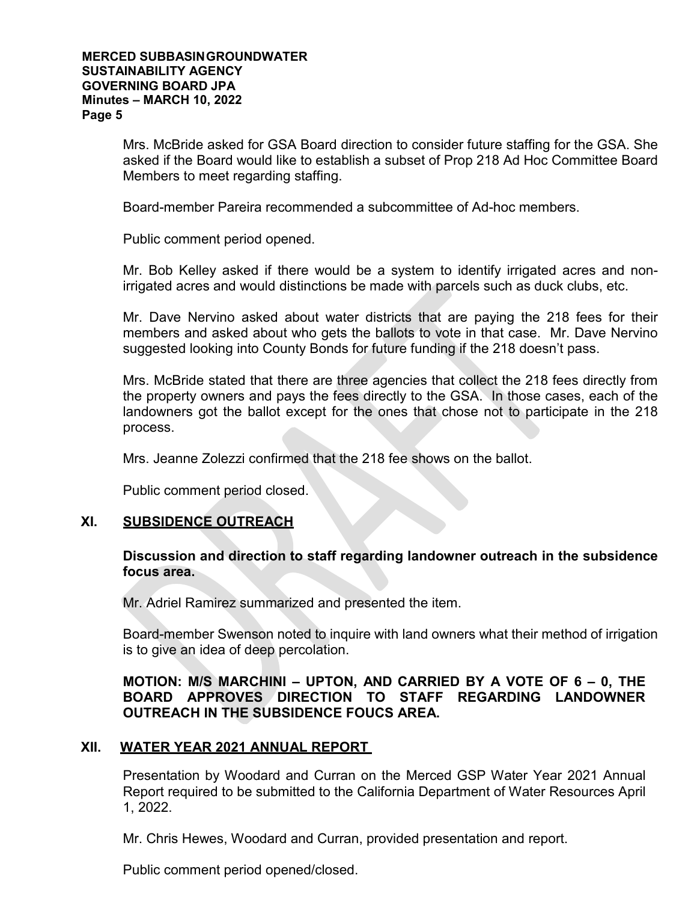#### **MERCED SUBBASINGROUNDWATER SUSTAINABILITY AGENCY GOVERNING BOARD JPA Minutes – MARCH 10, 2022 Page 5**

Mrs. McBride asked for GSA Board direction to consider future staffing for the GSA. She asked if the Board would like to establish a subset of Prop 218 Ad Hoc Committee Board Members to meet regarding staffing.

Board-member Pareira recommended a subcommittee of Ad-hoc members.

Public comment period opened.

Mr. Bob Kelley asked if there would be a system to identify irrigated acres and nonirrigated acres and would distinctions be made with parcels such as duck clubs, etc.

Mr. Dave Nervino asked about water districts that are paying the 218 fees for their members and asked about who gets the ballots to vote in that case. Mr. Dave Nervino suggested looking into County Bonds for future funding if the 218 doesn't pass.

Mrs. McBride stated that there are three agencies that collect the 218 fees directly from the property owners and pays the fees directly to the GSA. In those cases, each of the landowners got the ballot except for the ones that chose not to participate in the 218 process.

Mrs. Jeanne Zolezzi confirmed that the 218 fee shows on the ballot.

Public comment period closed.

# **XI. SUBSIDENCE OUTREACH**

# **Discussion and direction to staff regarding landowner outreach in the subsidence focus area.**

Mr. Adriel Ramirez summarized and presented the item.

Board-member Swenson noted to inquire with land owners what their method of irrigation is to give an idea of deep percolation.

# **MOTION: M/S MARCHINI – UPTON, AND CARRIED BY A VOTE OF 6 – 0, THE BOARD APPROVES DIRECTION TO STAFF REGARDING LANDOWNER OUTREACH IN THE SUBSIDENCE FOUCS AREA.**

# **XII. WATER YEAR 2021 ANNUAL REPORT**

Presentation by Woodard and Curran on the Merced GSP Water Year 2021 Annual Report required to be submitted to the California Department of Water Resources April 1, 2022.

Mr. Chris Hewes, Woodard and Curran, provided presentation and report.

Public comment period opened/closed.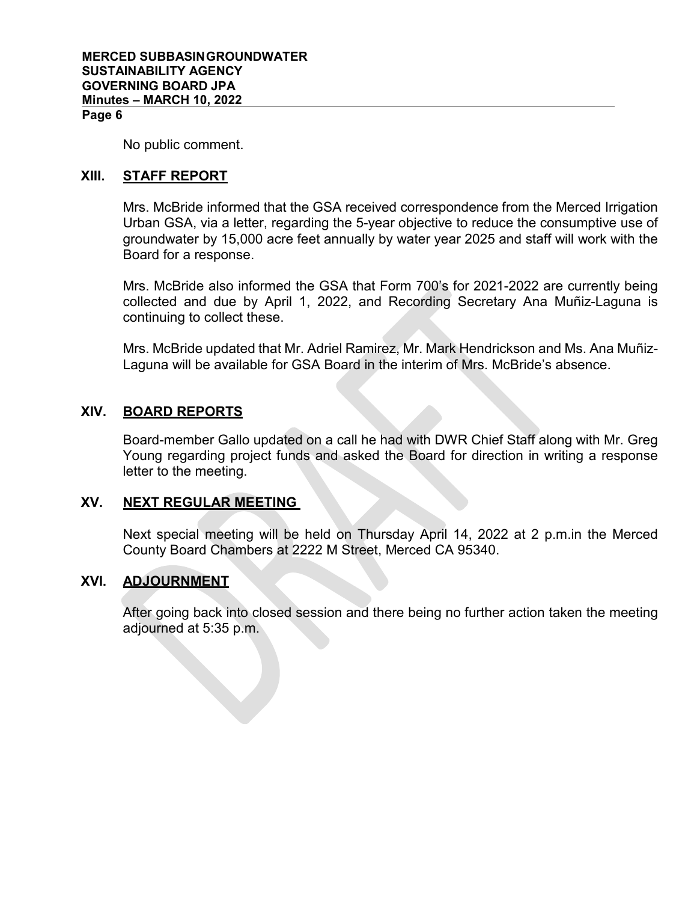#### **Page 6**

No public comment.

# **XIII. STAFF REPORT**

Mrs. McBride informed that the GSA received correspondence from the Merced Irrigation Urban GSA, via a letter, regarding the 5-year objective to reduce the consumptive use of groundwater by 15,000 acre feet annually by water year 2025 and staff will work with the Board for a response.

Mrs. McBride also informed the GSA that Form 700's for 2021-2022 are currently being collected and due by April 1, 2022, and Recording Secretary Ana Muñiz-Laguna is continuing to collect these.

Mrs. McBride updated that Mr. Adriel Ramirez, Mr. Mark Hendrickson and Ms. Ana Muñiz-Laguna will be available for GSA Board in the interim of Mrs. McBride's absence.

# **XIV. BOARD REPORTS**

Board-member Gallo updated on a call he had with DWR Chief Staff along with Mr. Greg Young regarding project funds and asked the Board for direction in writing a response letter to the meeting.

# **XV. NEXT REGULAR MEETING**

Next special meeting will be held on Thursday April 14, 2022 at 2 p.m.in the Merced County Board Chambers at 2222 M Street, Merced CA 95340.

# **XVI. ADJOURNMENT**

After going back into closed session and there being no further action taken the meeting adjourned at 5:35 p.m.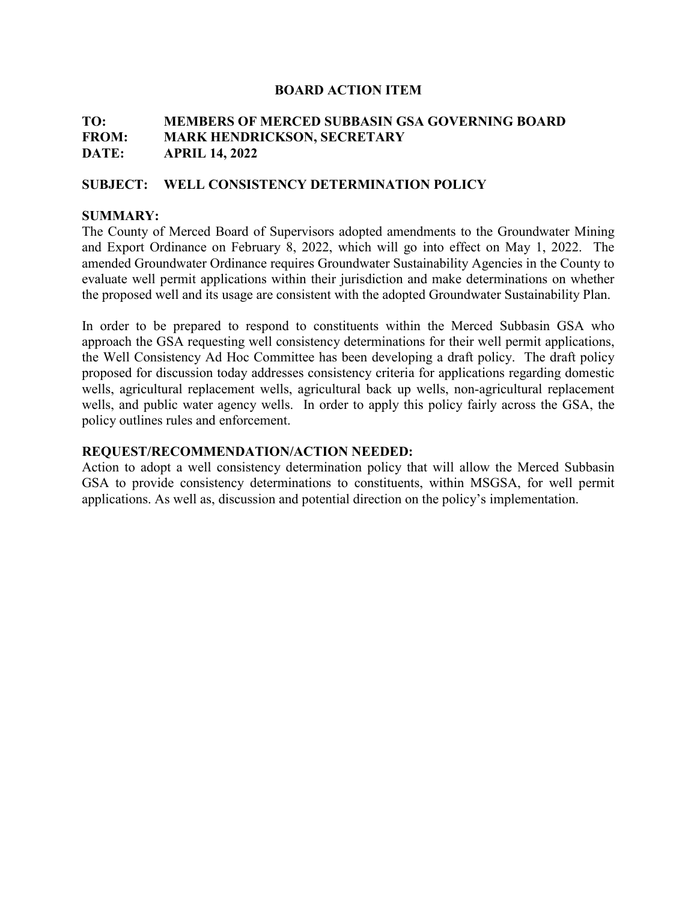# **TO: MEMBERS OF MERCED SUBBASIN GSA GOVERNING BOARD FROM: MARK HENDRICKSON, SECRETARY DATE: APRIL 14, 2022**

#### **SUBJECT: WELL CONSISTENCY DETERMINATION POLICY**

#### **SUMMARY:**

The County of Merced Board of Supervisors adopted amendments to the Groundwater Mining and Export Ordinance on February 8, 2022, which will go into effect on May 1, 2022. The amended Groundwater Ordinance requires Groundwater Sustainability Agencies in the County to evaluate well permit applications within their jurisdiction and make determinations on whether the proposed well and its usage are consistent with the adopted Groundwater Sustainability Plan.

In order to be prepared to respond to constituents within the Merced Subbasin GSA who approach the GSA requesting well consistency determinations for their well permit applications, the Well Consistency Ad Hoc Committee has been developing a draft policy. The draft policy proposed for discussion today addresses consistency criteria for applications regarding domestic wells, agricultural replacement wells, agricultural back up wells, non-agricultural replacement wells, and public water agency wells. In order to apply this policy fairly across the GSA, the policy outlines rules and enforcement.

#### **REQUEST/RECOMMENDATION/ACTION NEEDED:**

Action to adopt a well consistency determination policy that will allow the Merced Subbasin GSA to provide consistency determinations to constituents, within MSGSA, for well permit applications. As well as, discussion and potential direction on the policy's implementation.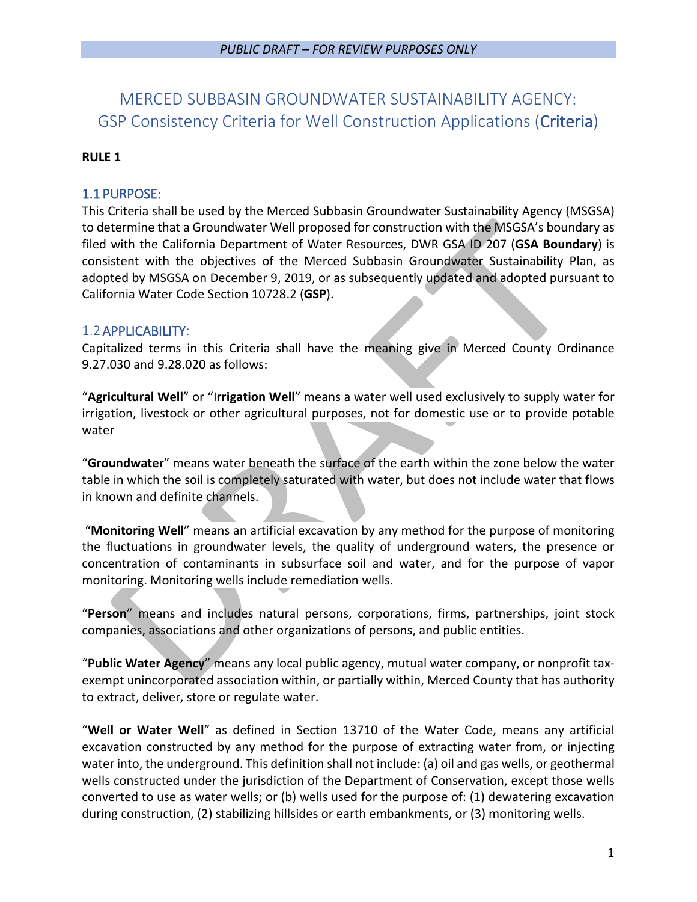# MERCED SUBBASIN GROUNDWATER SUSTAINABILITY AGENCY: GSP Consistency Criteria for Well Construction Applications (Criteria)

# **RULE 1**

# 1.1 PURPOSE:

This Criteria shall be used by the Merced Subbasin Groundwater Sustainability Agency (MSGSA) to determine that a Groundwater Well proposed for construction with the MSGSA's boundary as filed with the California Department of Water Resources, DWR GSA ID 207 (**GSA Boundary**) is consistent with the objectives of the Merced Subbasin Groundwater Sustainability Plan, as adopted by MSGSA on December 9, 2019, or as subsequently updated and adopted pursuant to California Water Code Section 10728.2 (**GSP**).

# 1.2APPLICABILITY:

Capitalized terms in this Criteria shall have the meaning give in Merced County Ordinance 9.27.030 and 9.28.020 as follows:

"**Agricultural Well**" or "I**rrigation Well**" means a water well used exclusively to supply water for irrigation, livestock or other agricultural purposes, not for domestic use or to provide potable water

"**Groundwater**" means water beneath the surface of the earth within the zone below the water table in which the soil is completely saturated with water, but does not include water that flows in known and definite channels.

"**Monitoring Well**" means an artificial excavation by any method for the purpose of monitoring the fluctuations in groundwater levels, the quality of underground waters, the presence or concentration of contaminants in subsurface soil and water, and for the purpose of vapor monitoring. Monitoring wells include remediation wells.

"**Person**" means and includes natural persons, corporations, firms, partnerships, joint stock companies, associations and other organizations of persons, and public entities.

"**Public Water Agency**" means any local public agency, mutual water company, or nonprofit taxexempt unincorporated association within, or partially within, Merced County that has authority to extract, deliver, store or regulate water.

"**Well or Water Well**" as defined in Section 13710 of the Water Code, means any artificial excavation constructed by any method for the purpose of extracting water from, or injecting water into, the underground. This definition shall not include: (a) oil and gas wells, or geothermal wells constructed under the jurisdiction of the Department of Conservation, except those wells converted to use as water wells; or (b) wells used for the purpose of: (1) dewatering excavation during construction, (2) stabilizing hillsides or earth embankments, or (3) monitoring wells.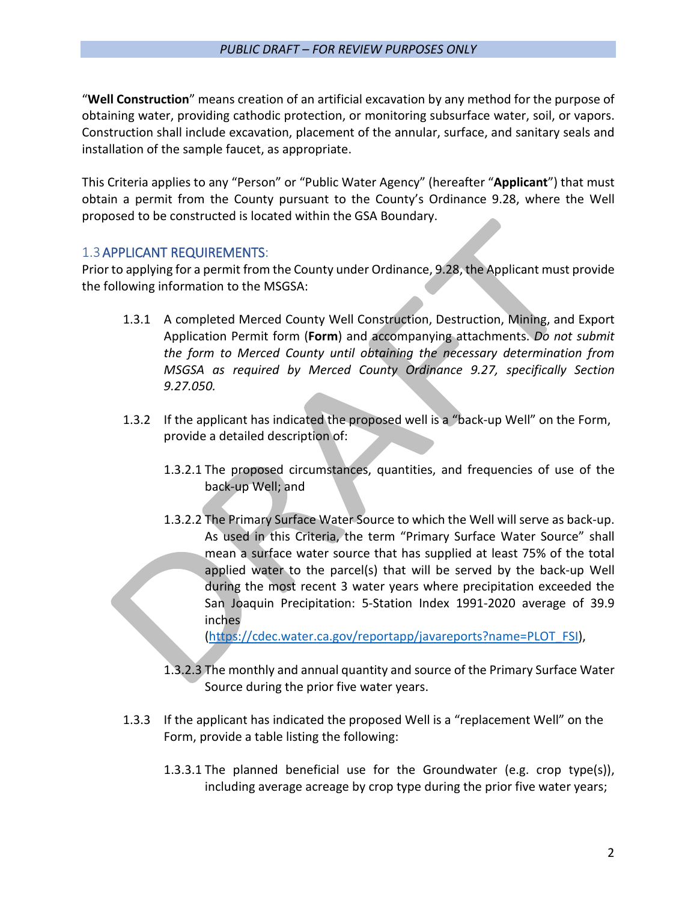"**Well Construction**" means creation of an artificial excavation by any method for the purpose of obtaining water, providing cathodic protection, or monitoring subsurface water, soil, or vapors. Construction shall include excavation, placement of the annular, surface, and sanitary seals and installation of the sample faucet, as appropriate.

This Criteria applies to any "Person" or "Public Water Agency" (hereafter "**Applicant**") that must obtain a permit from the County pursuant to the County's Ordinance 9.28, where the Well proposed to be constructed is located within the GSA Boundary.

# 1.3APPLICANT REQUIREMENTS:

Prior to applying for a permit from the County under Ordinance, 9.28, the Applicant must provide the following information to the MSGSA:

- 1.3.1 A completed Merced County Well Construction, Destruction, Mining, and Export Application Permit form (**Form**) and accompanying attachments. *Do not submit the form to Merced County until obtaining the necessary determination from MSGSA as required by Merced County Ordinance 9.27, specifically Section 9.27.050.*
- 1.3.2 If the applicant has indicated the proposed well is a "back-up Well" on the Form, provide a detailed description of:
	- 1.3.2.1 The proposed circumstances, quantities, and frequencies of use of the back-up Well; and
	- 1.3.2.2 The Primary Surface Water Source to which the Well will serve as back-up. As used in this Criteria, the term "Primary Surface Water Source" shall mean a surface water source that has supplied at least 75% of the total applied water to the parcel(s) that will be served by the back-up Well during the most recent 3 water years where precipitation exceeded the San Joaquin Precipitation: 5-Station Index 1991-2020 average of 39.9 inches

[\(https://cdec.water.ca.gov/reportapp/javareports?name=PLOT\\_FSI\)](https://cdec.water.ca.gov/reportapp/javareports?name=PLOT_FSI),

- 1.3.2.3 The monthly and annual quantity and source of the Primary Surface Water Source during the prior five water years.
- 1.3.3 If the applicant has indicated the proposed Well is a "replacement Well" on the Form, provide a table listing the following:
	- 1.3.3.1 The planned beneficial use for the Groundwater (e.g. crop type(s)), including average acreage by crop type during the prior five water years;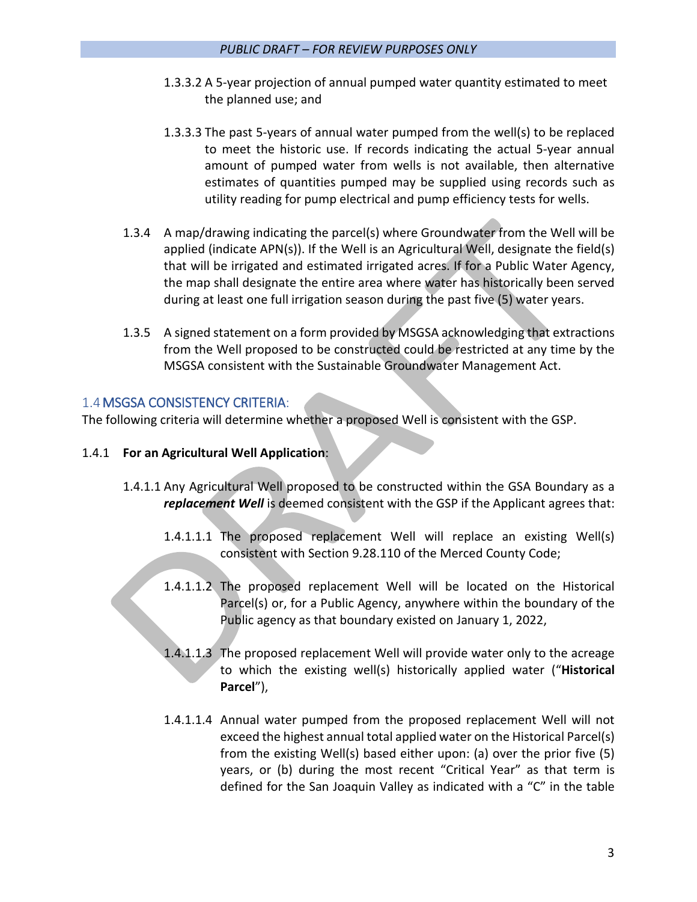- 1.3.3.2 A 5-year projection of annual pumped water quantity estimated to meet the planned use; and
- 1.3.3.3 The past 5-years of annual water pumped from the well(s) to be replaced to meet the historic use. If records indicating the actual 5-year annual amount of pumped water from wells is not available, then alternative estimates of quantities pumped may be supplied using records such as utility reading for pump electrical and pump efficiency tests for wells.
- 1.3.4 A map/drawing indicating the parcel(s) where Groundwater from the Well will be applied (indicate APN(s)). If the Well is an Agricultural Well, designate the field(s) that will be irrigated and estimated irrigated acres. If for a Public Water Agency, the map shall designate the entire area where water has historically been served during at least one full irrigation season during the past five (5) water years.
- 1.3.5 A signed statement on a form provided by MSGSA acknowledging that extractions from the Well proposed to be constructed could be restricted at any time by the MSGSA consistent with the Sustainable Groundwater Management Act.

# 1.4MSGSA CONSISTENCY CRITERIA:

The following criteria will determine whether a proposed Well is consistent with the GSP.

# 1.4.1 **For an Agricultural Well Application**:

- 1.4.1.1 Any Agricultural Well proposed to be constructed within the GSA Boundary as a *replacement Well* is deemed consistent with the GSP if the Applicant agrees that:
	- 1.4.1.1.1 The proposed replacement Well will replace an existing Well(s) consistent with Section 9.28.110 of the Merced County Code;
	- 1.4.1.1.2 The proposed replacement Well will be located on the Historical Parcel(s) or, for a Public Agency, anywhere within the boundary of the Public agency as that boundary existed on January 1, 2022,
	- 1.4.1.1.3 The proposed replacement Well will provide water only to the acreage to which the existing well(s) historically applied water ("**Historical Parcel**"),
	- 1.4.1.1.4 Annual water pumped from the proposed replacement Well will not exceed the highest annual total applied water on the Historical Parcel(s) from the existing Well(s) based either upon: (a) over the prior five (5) years, or (b) during the most recent "Critical Year" as that term is defined for the San Joaquin Valley as indicated with a "C" in the table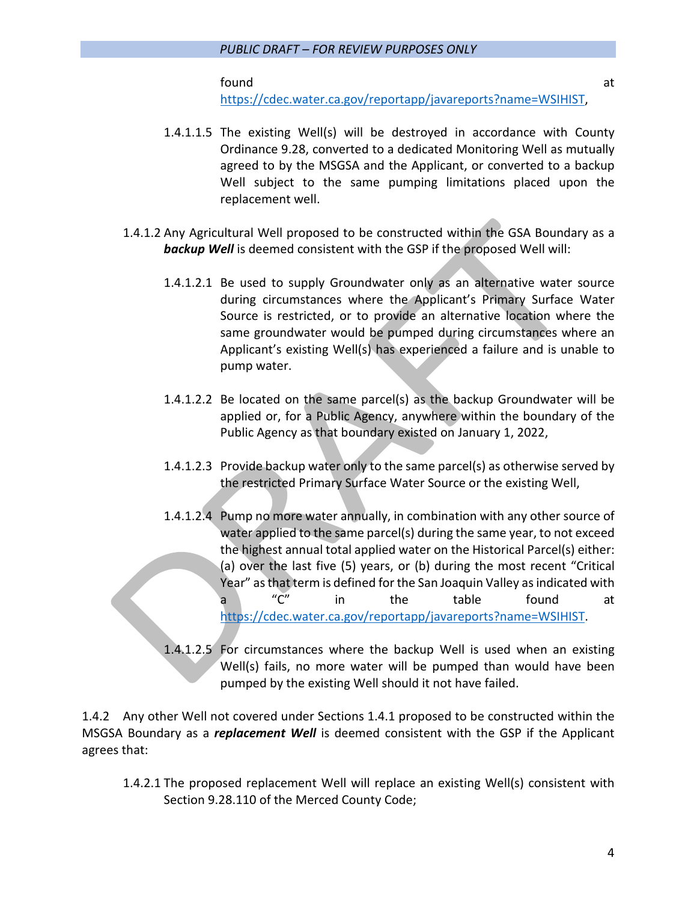found at the set of the set of the set of the set of the set of the set of the set of the set of the set of th

[https://cdec.water.ca.gov/reportapp/javareports?name=WSIHIST,](https://cdec.water.ca.gov/reportapp/javareports?name=WSIHIST)

- 1.4.1.1.5 The existing Well(s) will be destroyed in accordance with County Ordinance 9.28, converted to a dedicated Monitoring Well as mutually agreed to by the MSGSA and the Applicant, or converted to a backup Well subject to the same pumping limitations placed upon the replacement well.
- 1.4.1.2 Any Agricultural Well proposed to be constructed within the GSA Boundary as a *backup Well* is deemed consistent with the GSP if the proposed Well will:
	- 1.4.1.2.1 Be used to supply Groundwater only as an alternative water source during circumstances where the Applicant's Primary Surface Water Source is restricted, or to provide an alternative location where the same groundwater would be pumped during circumstances where an Applicant's existing Well(s) has experienced a failure and is unable to pump water.
	- 1.4.1.2.2 Be located on the same parcel(s) as the backup Groundwater will be applied or, for a Public Agency, anywhere within the boundary of the Public Agency as that boundary existed on January 1, 2022,
	- 1.4.1.2.3 Provide backup water only to the same parcel(s) as otherwise served by the restricted Primary Surface Water Source or the existing Well,
	- 1.4.1.2.4 Pump no more water annually, in combination with any other source of water applied to the same parcel(s) during the same year, to not exceed the highest annual total applied water on the Historical Parcel(s) either: (a) over the last five (5) years, or (b) during the most recent "Critical Year" as that term is defined for the San Joaquin Valley as indicated with a "C" in the table found at [https://cdec.water.ca.gov/reportapp/javareports?name=WSIHIST.](https://cdec.water.ca.gov/reportapp/javareports?name=WSIHIST)
	- 1.4.1.2.5 For circumstances where the backup Well is used when an existing Well(s) fails, no more water will be pumped than would have been pumped by the existing Well should it not have failed.

1.4.2 Any other Well not covered under Sections 1.4.1 proposed to be constructed within the MSGSA Boundary as a *replacement Well* is deemed consistent with the GSP if the Applicant agrees that:

1.4.2.1 The proposed replacement Well will replace an existing Well(s) consistent with Section 9.28.110 of the Merced County Code;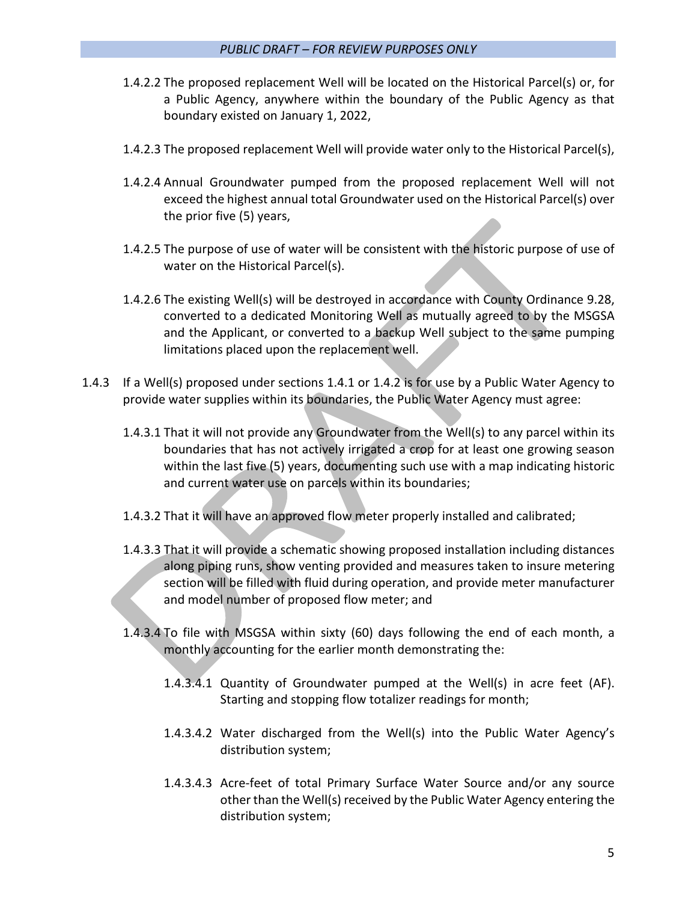- 1.4.2.2 The proposed replacement Well will be located on the Historical Parcel(s) or, for a Public Agency, anywhere within the boundary of the Public Agency as that boundary existed on January 1, 2022,
- 1.4.2.3 The proposed replacement Well will provide water only to the Historical Parcel(s),
- 1.4.2.4 Annual Groundwater pumped from the proposed replacement Well will not exceed the highest annual total Groundwater used on the Historical Parcel(s) over the prior five (5) years,
- 1.4.2.5 The purpose of use of water will be consistent with the historic purpose of use of water on the Historical Parcel(s).
- 1.4.2.6 The existing Well(s) will be destroyed in accordance with County Ordinance 9.28, converted to a dedicated Monitoring Well as mutually agreed to by the MSGSA and the Applicant, or converted to a backup Well subject to the same pumping limitations placed upon the replacement well.
- 1.4.3 If a Well(s) proposed under sections 1.4.1 or 1.4.2 is for use by a Public Water Agency to provide water supplies within its boundaries, the Public Water Agency must agree:
	- 1.4.3.1 That it will not provide any Groundwater from the Well(s) to any parcel within its boundaries that has not actively irrigated a crop for at least one growing season within the last five (5) years, documenting such use with a map indicating historic and current water use on parcels within its boundaries;
	- 1.4.3.2 That it will have an approved flow meter properly installed and calibrated;
	- 1.4.3.3 That it will provide a schematic showing proposed installation including distances along piping runs, show venting provided and measures taken to insure metering section will be filled with fluid during operation, and provide meter manufacturer and model number of proposed flow meter; and
	- 1.4.3.4 To file with MSGSA within sixty (60) days following the end of each month, a monthly accounting for the earlier month demonstrating the:
		- 1.4.3.4.1 Quantity of Groundwater pumped at the Well(s) in acre feet (AF). Starting and stopping flow totalizer readings for month;
		- 1.4.3.4.2 Water discharged from the Well(s) into the Public Water Agency's distribution system;
		- 1.4.3.4.3 Acre-feet of total Primary Surface Water Source and/or any source other than the Well(s) received by the Public Water Agency entering the distribution system;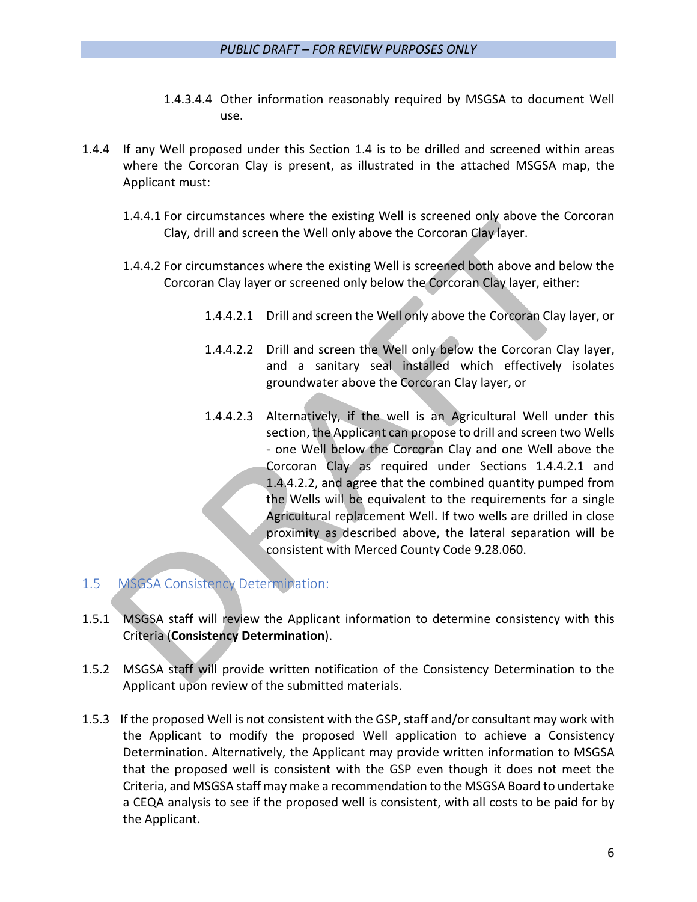- 1.4.3.4.4 Other information reasonably required by MSGSA to document Well use.
- 1.4.4 If any Well proposed under this Section 1.4 is to be drilled and screened within areas where the Corcoran Clay is present, as illustrated in the attached MSGSA map, the Applicant must:
	- 1.4.4.1 For circumstances where the existing Well is screened only above the Corcoran Clay, drill and screen the Well only above the Corcoran Clay layer.
	- 1.4.4.2 For circumstances where the existing Well is screened both above and below the Corcoran Clay layer or screened only below the Corcoran Clay layer, either:
		- 1.4.4.2.1 Drill and screen the Well only above the Corcoran Clay layer, or
		- 1.4.4.2.2 Drill and screen the Well only below the Corcoran Clay layer, and a sanitary seal installed which effectively isolates groundwater above the Corcoran Clay layer, or
		- 1.4.4.2.3 Alternatively, if the well is an Agricultural Well under this section, the Applicant can propose to drill and screen two Wells - one Well below the Corcoran Clay and one Well above the Corcoran Clay as required under Sections 1.4.4.2.1 and 1.4.4.2.2, and agree that the combined quantity pumped from the Wells will be equivalent to the requirements for a single Agricultural replacement Well. If two wells are drilled in close proximity as described above, the lateral separation will be consistent with Merced County Code 9.28.060.

# 1.5 MSGSA Consistency Determination:

- 1.5.1 MSGSA staff will review the Applicant information to determine consistency with this Criteria (**Consistency Determination**).
- 1.5.2 MSGSA staff will provide written notification of the Consistency Determination to the Applicant upon review of the submitted materials.
- 1.5.3 If the proposed Well is not consistent with the GSP, staff and/or consultant may work with the Applicant to modify the proposed Well application to achieve a Consistency Determination. Alternatively, the Applicant may provide written information to MSGSA that the proposed well is consistent with the GSP even though it does not meet the Criteria, and MSGSA staff may make a recommendation to the MSGSA Board to undertake a CEQA analysis to see if the proposed well is consistent, with all costs to be paid for by the Applicant.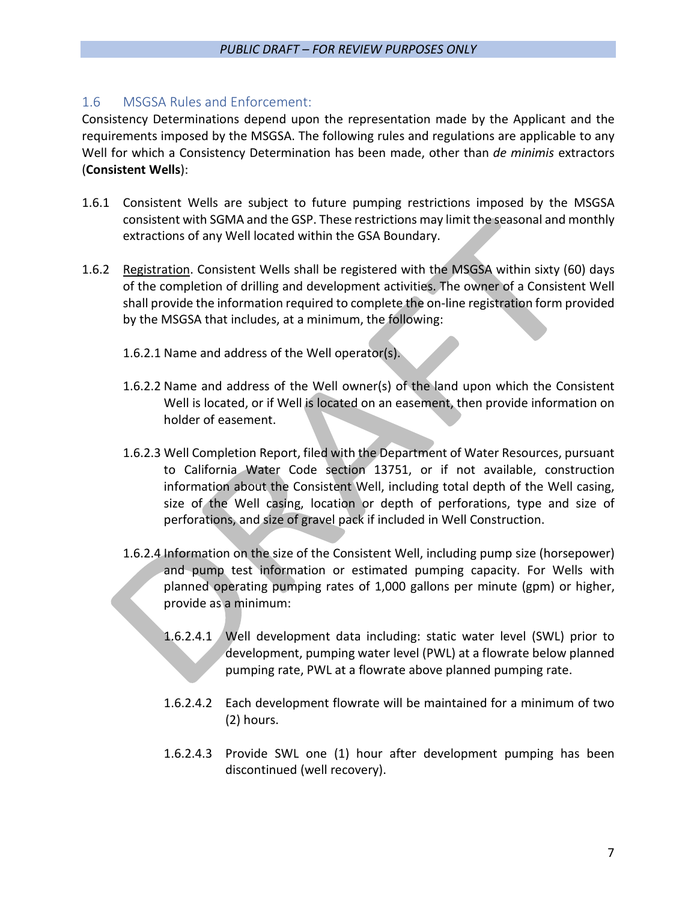# 1.6 MSGSA Rules and Enforcement:

Consistency Determinations depend upon the representation made by the Applicant and the requirements imposed by the MSGSA. The following rules and regulations are applicable to any Well for which a Consistency Determination has been made, other than *de minimis* extractors (**Consistent Wells**):

- 1.6.1 Consistent Wells are subject to future pumping restrictions imposed by the MSGSA consistent with SGMA and the GSP. These restrictions may limit the seasonal and monthly extractions of any Well located within the GSA Boundary.
- 1.6.2 Registration. Consistent Wells shall be registered with the MSGSA within sixty (60) days of the completion of drilling and development activities. The owner of a Consistent Well shall provide the information required to complete the on-line registration form provided by the MSGSA that includes, at a minimum, the following:
	- 1.6.2.1 Name and address of the Well operator(s).
	- 1.6.2.2 Name and address of the Well owner(s) of the land upon which the Consistent Well is located, or if Well is located on an easement, then provide information on holder of easement.
	- 1.6.2.3 Well Completion Report, filed with the Department of Water Resources, pursuant to California Water Code section 13751, or if not available, construction information about the Consistent Well, including total depth of the Well casing, size of the Well casing, location or depth of perforations, type and size of perforations, and size of gravel pack if included in Well Construction.
	- 1.6.2.4 Information on the size of the Consistent Well, including pump size (horsepower) and pump test information or estimated pumping capacity. For Wells with planned operating pumping rates of 1,000 gallons per minute (gpm) or higher, provide as a minimum:
		- 1.6.2.4.1 Well development data including: static water level (SWL) prior to development, pumping water level (PWL) at a flowrate below planned pumping rate, PWL at a flowrate above planned pumping rate.
		- 1.6.2.4.2 Each development flowrate will be maintained for a minimum of two (2) hours.
		- 1.6.2.4.3 Provide SWL one (1) hour after development pumping has been discontinued (well recovery).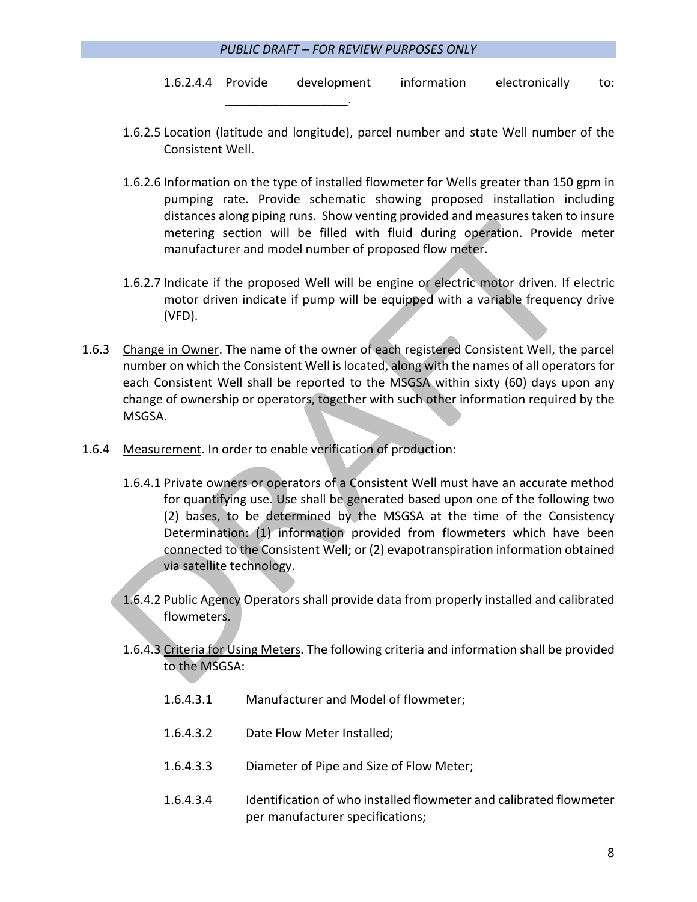\_\_\_\_\_\_\_\_\_\_\_\_\_\_\_\_\_\_.

- 1.6.2.4.4 Provide development information electronically to:
- 1.6.2.5 Location (latitude and longitude), parcel number and state Well number of the Consistent Well.
- 1.6.2.6 Information on the type of installed flowmeter for Wells greater than 150 gpm in pumping rate. Provide schematic showing proposed installation including distances along piping runs. Show venting provided and measures taken to insure metering section will be filled with fluid during operation. Provide meter manufacturer and model number of proposed flow meter.
- 1.6.2.7 Indicate if the proposed Well will be engine or electric motor driven. If electric motor driven indicate if pump will be equipped with a variable frequency drive (VFD).
- 1.6.3 Change in Owner. The name of the owner of each registered Consistent Well, the parcel number on which the Consistent Well is located, along with the names of all operators for each Consistent Well shall be reported to the MSGSA within sixty (60) days upon any change of ownership or operators, together with such other information required by the MSGSA.
- 1.6.4 Measurement. In order to enable verification of production:
	- 1.6.4.1 Private owners or operators of a Consistent Well must have an accurate method for quantifying use. Use shall be generated based upon one of the following two (2) bases, to be determined by the MSGSA at the time of the Consistency Determination: (1) information provided from flowmeters which have been connected to the Consistent Well; or (2) evapotranspiration information obtained via satellite technology.
	- 1.6.4.2 Public Agency Operators shall provide data from properly installed and calibrated flowmeters.
	- 1.6.4.3 Criteria for Using Meters. The following criteria and information shall be provided to the MSGSA:
		- 1.6.4.3.1 Manufacturer and Model of flowmeter;
		- 1.6.4.3.2 Date Flow Meter Installed;
		- 1.6.4.3.3 Diameter of Pipe and Size of Flow Meter;
		- 1.6.4.3.4 Identification of who installed flowmeter and calibrated flowmeter per manufacturer specifications;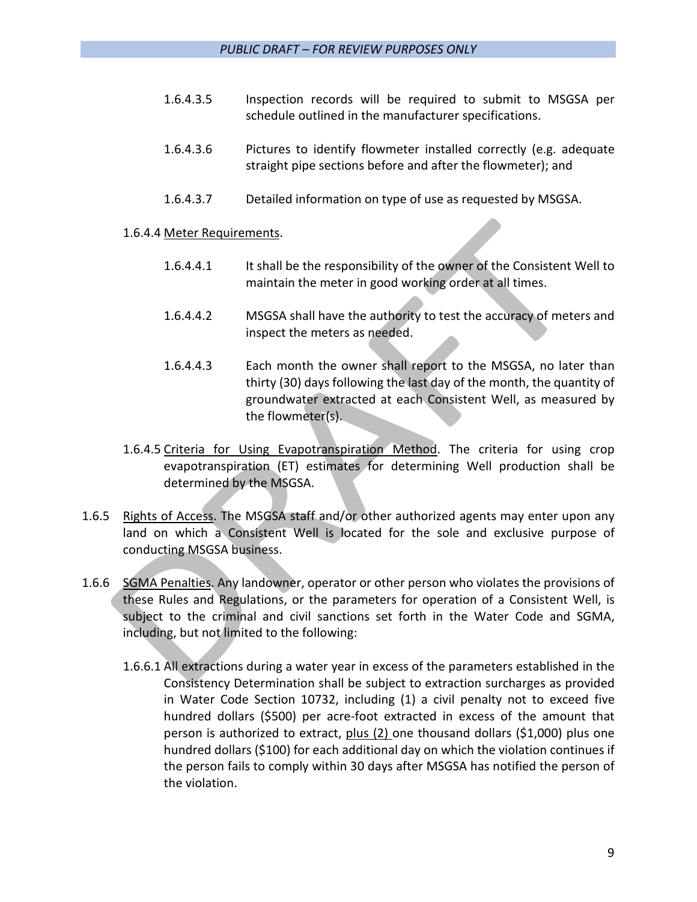- 1.6.4.3.5 Inspection records will be required to submit to MSGSA per schedule outlined in the manufacturer specifications.
- 1.6.4.3.6 Pictures to identify flowmeter installed correctly (e.g. adequate straight pipe sections before and after the flowmeter); and
- 1.6.4.3.7 Detailed information on type of use as requested by MSGSA.

# 1.6.4.4 Meter Requirements.

- 1.6.4.4.1 It shall be the responsibility of the owner of the Consistent Well to maintain the meter in good working order at all times.
- 1.6.4.4.2 MSGSA shall have the authority to test the accuracy of meters and inspect the meters as needed.
- 1.6.4.4.3 Each month the owner shall report to the MSGSA, no later than thirty (30) days following the last day of the month, the quantity of groundwater extracted at each Consistent Well, as measured by the flowmeter(s).
- 1.6.4.5 Criteria for Using Evapotranspiration Method. The criteria for using crop evapotranspiration (ET) estimates for determining Well production shall be determined by the MSGSA.
- 1.6.5 Rights of Access. The MSGSA staff and/or other authorized agents may enter upon any land on which a Consistent Well is located for the sole and exclusive purpose of conducting MSGSA business.
- 1.6.6 SGMA Penalties. Any landowner, operator or other person who violates the provisions of these Rules and Regulations, or the parameters for operation of a Consistent Well, is subject to the criminal and civil sanctions set forth in the Water Code and SGMA, including, but not limited to the following:
	- 1.6.6.1 All extractions during a water year in excess of the parameters established in the Consistency Determination shall be subject to extraction surcharges as provided in Water Code Section 10732, including (1) a civil penalty not to exceed five hundred dollars (\$500) per acre-foot extracted in excess of the amount that person is authorized to extract, plus (2) one thousand dollars (\$1,000) plus one hundred dollars (\$100) for each additional day on which the violation continues if the person fails to comply within 30 days after MSGSA has notified the person of the violation.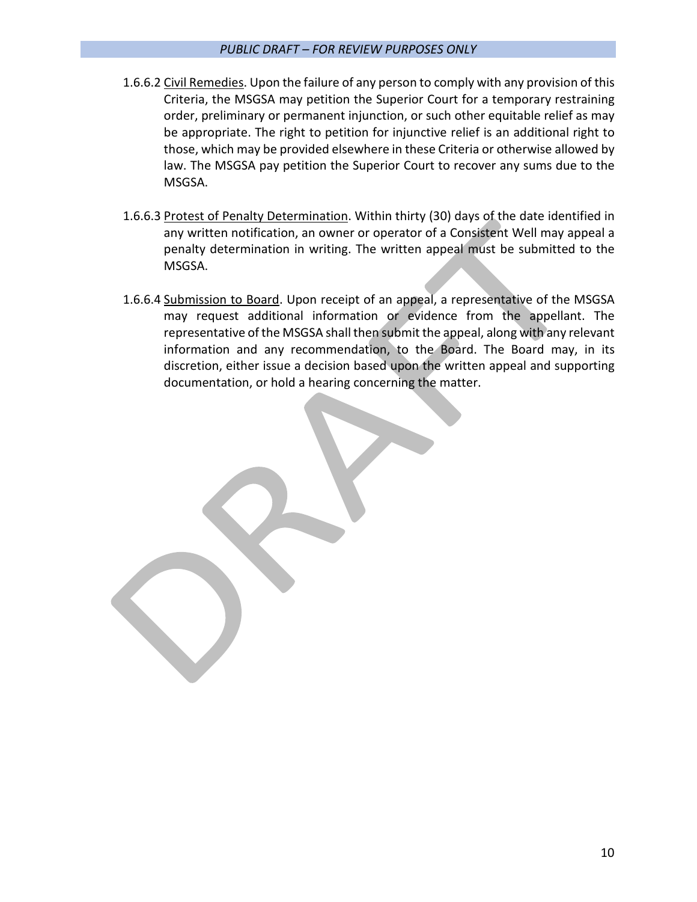# *PUBLIC DRAFT – FOR REVIEW PURPOSES ONLY*

- 1.6.6.2 Civil Remedies. Upon the failure of any person to comply with any provision of this Criteria, the MSGSA may petition the Superior Court for a temporary restraining order, preliminary or permanent injunction, or such other equitable relief as may be appropriate. The right to petition for injunctive relief is an additional right to those, which may be provided elsewhere in these Criteria or otherwise allowed by law. The MSGSA pay petition the Superior Court to recover any sums due to the MSGSA.
- 1.6.6.3 Protest of Penalty Determination. Within thirty (30) days of the date identified in any written notification, an owner or operator of a Consistent Well may appeal a penalty determination in writing. The written appeal must be submitted to the MSGSA.
- 1.6.6.4 Submission to Board. Upon receipt of an appeal, a representative of the MSGSA may request additional information or evidence from the appellant. The representative of the MSGSA shall then submit the appeal, along with any relevant information and any recommendation, to the Board. The Board may, in its discretion, either issue a decision based upon the written appeal and supporting documentation, or hold a hearing concerning the matter.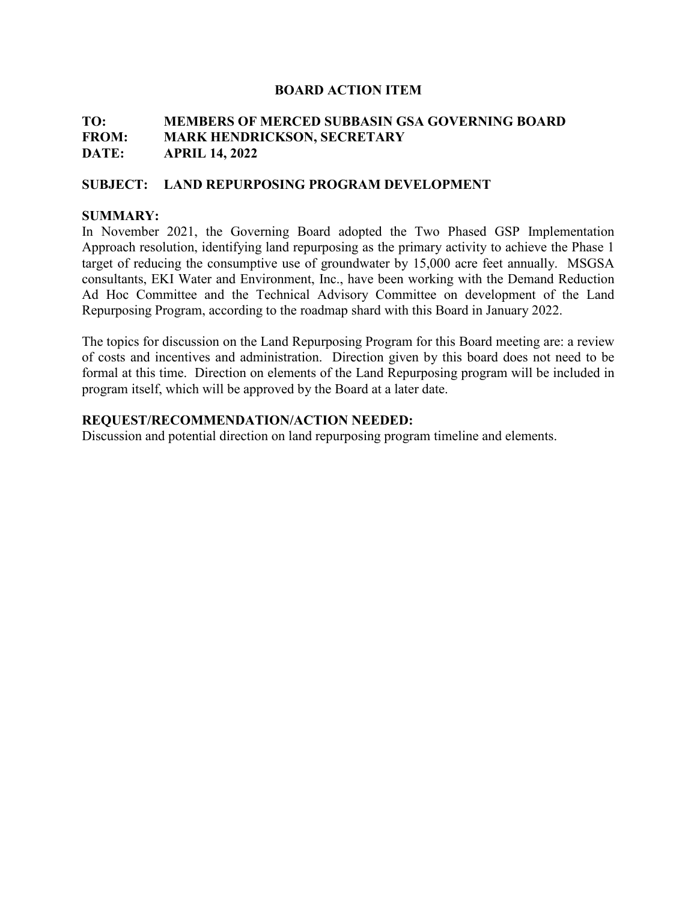# **TO: MEMBERS OF MERCED SUBBASIN GSA GOVERNING BOARD FROM: MARK HENDRICKSON, SECRETARY DATE: APRIL 14, 2022**

#### **SUBJECT: LAND REPURPOSING PROGRAM DEVELOPMENT**

#### **SUMMARY:**

In November 2021, the Governing Board adopted the Two Phased GSP Implementation Approach resolution, identifying land repurposing as the primary activity to achieve the Phase 1 target of reducing the consumptive use of groundwater by 15,000 acre feet annually. MSGSA consultants, EKI Water and Environment, Inc., have been working with the Demand Reduction Ad Hoc Committee and the Technical Advisory Committee on development of the Land Repurposing Program, according to the roadmap shard with this Board in January 2022.

The topics for discussion on the Land Repurposing Program for this Board meeting are: a review of costs and incentives and administration. Direction given by this board does not need to be formal at this time. Direction on elements of the Land Repurposing program will be included in program itself, which will be approved by the Board at a later date.

#### **REQUEST/RECOMMENDATION/ACTION NEEDED:**

Discussion and potential direction on land repurposing program timeline and elements.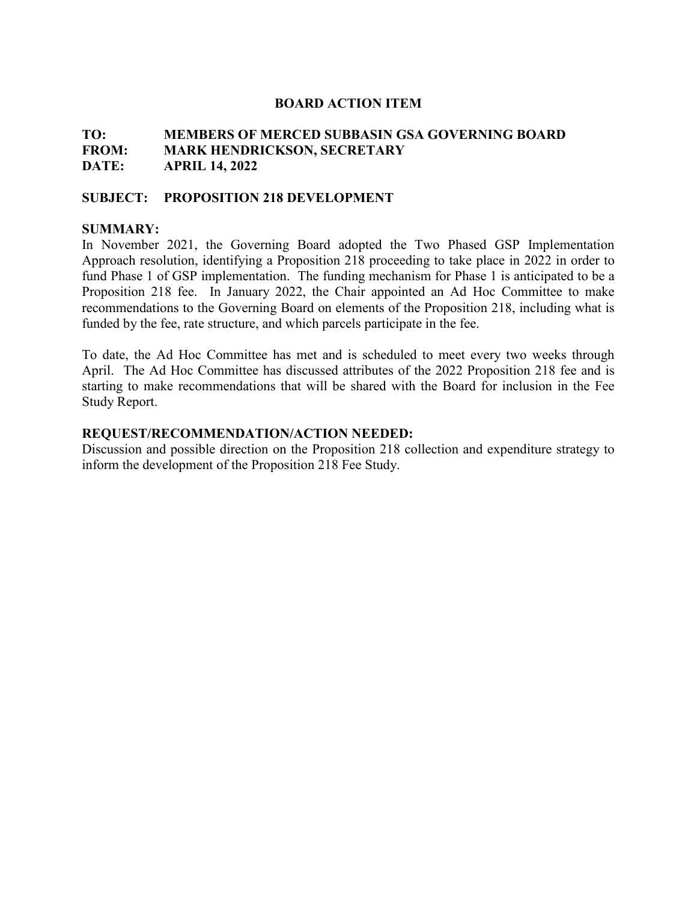# **TO: MEMBERS OF MERCED SUBBASIN GSA GOVERNING BOARD FROM: MARK HENDRICKSON, SECRETARY DATE: APRIL 14, 2022**

#### **SUBJECT: PROPOSITION 218 DEVELOPMENT**

#### **SUMMARY:**

In November 2021, the Governing Board adopted the Two Phased GSP Implementation Approach resolution, identifying a Proposition 218 proceeding to take place in 2022 in order to fund Phase 1 of GSP implementation. The funding mechanism for Phase 1 is anticipated to be a Proposition 218 fee. In January 2022, the Chair appointed an Ad Hoc Committee to make recommendations to the Governing Board on elements of the Proposition 218, including what is funded by the fee, rate structure, and which parcels participate in the fee.

To date, the Ad Hoc Committee has met and is scheduled to meet every two weeks through April. The Ad Hoc Committee has discussed attributes of the 2022 Proposition 218 fee and is starting to make recommendations that will be shared with the Board for inclusion in the Fee Study Report.

#### **REQUEST/RECOMMENDATION/ACTION NEEDED:**

Discussion and possible direction on the Proposition 218 collection and expenditure strategy to inform the development of the Proposition 218 Fee Study.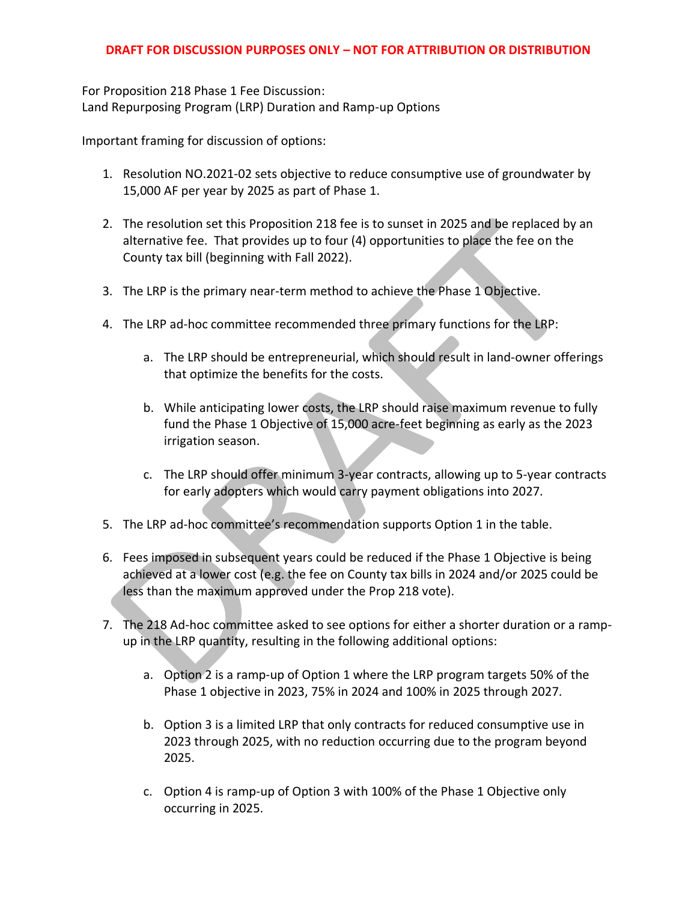# **DRAFT FOR DISCUSSION PURPOSES ONLY – NOT FOR ATTRIBUTION OR DISTRIBUTION**

For Proposition 218 Phase 1 Fee Discussion: Land Repurposing Program (LRP) Duration and Ramp-up Options

Important framing for discussion of options:

- 1. Resolution NO.2021-02 sets objective to reduce consumptive use of groundwater by 15,000 AF per year by 2025 as part of Phase 1.
- 2. The resolution set this Proposition 218 fee is to sunset in 2025 and be replaced by an alternative fee. That provides up to four (4) opportunities to place the fee on the County tax bill (beginning with Fall 2022).
- 3. The LRP is the primary near-term method to achieve the Phase 1 Objective.
- 4. The LRP ad-hoc committee recommended three primary functions for the LRP:
	- a. The LRP should be entrepreneurial, which should result in land-owner offerings that optimize the benefits for the costs.
	- b. While anticipating lower costs, the LRP should raise maximum revenue to fully fund the Phase 1 Objective of 15,000 acre-feet beginning as early as the 2023 irrigation season.
	- c. The LRP should offer minimum 3-year contracts, allowing up to 5-year contracts for early adopters which would carry payment obligations into 2027.
- 5. The LRP ad-hoc committee's recommendation supports Option 1 in the table.
- 6. Fees imposed in subsequent years could be reduced if the Phase 1 Objective is being achieved at a lower cost (e.g. the fee on County tax bills in 2024 and/or 2025 could be less than the maximum approved under the Prop 218 vote).
- 7. The 218 Ad-hoc committee asked to see options for either a shorter duration or a rampup in the LRP quantity, resulting in the following additional options:
	- a. Option 2 is a ramp-up of Option 1 where the LRP program targets 50% of the Phase 1 objective in 2023, 75% in 2024 and 100% in 2025 through 2027.
	- b. Option 3 is a limited LRP that only contracts for reduced consumptive use in 2023 through 2025, with no reduction occurring due to the program beyond 2025.
	- c. Option 4 is ramp-up of Option 3 with 100% of the Phase 1 Objective only occurring in 2025.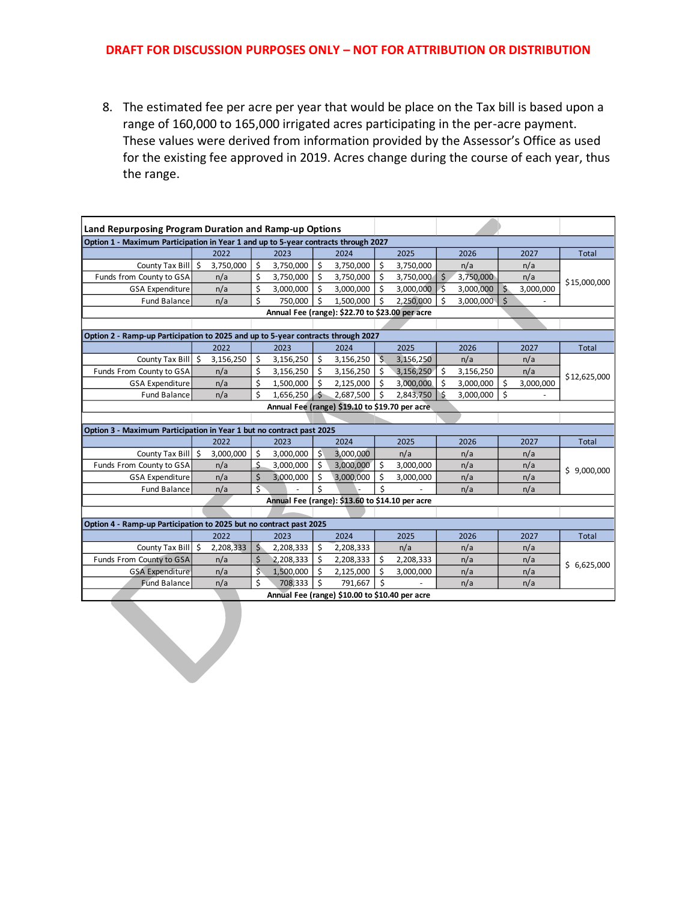#### **DRAFT FOR DISCUSSION PURPOSES ONLY – NOT FOR ATTRIBUTION OR DISTRIBUTION**

8. The estimated fee per acre per year that would be place on the Tax bill is based upon a range of 160,000 to 165,000 irrigated acres participating in the per-acre payment. These values were derived from information provided by the Assessor's Office as used for the existing fee approved in 2019. Acres change during the course of each year, thus the range.

| Land Repurposing Program Duration and Ramp-up Options                              |  |           |                         |           |    |           |         |           |              |           |              |           |              |  |
|------------------------------------------------------------------------------------|--|-----------|-------------------------|-----------|----|-----------|---------|-----------|--------------|-----------|--------------|-----------|--------------|--|
| Option 1 - Maximum Participation in Year 1 and up to 5-year contracts through 2027 |  |           |                         |           |    |           |         |           |              |           |              |           |              |  |
|                                                                                    |  | 2022      |                         | 2023      |    | 2024      |         | 2025      |              | 2026      |              | 2027      | <b>Total</b> |  |
| County Tax Bill \$                                                                 |  | 3,750,000 | \$                      | 3,750,000 | \$ | 3,750,000 | \$      | 3,750,000 |              | n/a       |              | n/a       |              |  |
| Funds from County to GSA                                                           |  | n/a       | \$                      | 3,750,000 | \$ | 3,750,000 | \$      | 3,750,000 | Ś            | 3,750,000 |              | n/a       | \$15,000,000 |  |
| <b>GSA Expenditure</b>                                                             |  | n/a       | \$                      | 3,000,000 | Ś  | 3,000,000 | \$      | 3,000,000 | -Š           | 3,000,000 |              | 3,000,000 |              |  |
| <b>Fund Balance</b>                                                                |  | n/a       | \$                      | 750,000   | Ś  | 1,500,000 | \$      | 2,250,000 | Ś            | 3,000,000 | $\mathsf{S}$ |           |              |  |
| Annual Fee (range): \$22.70 to \$23.00 per acre                                    |  |           |                         |           |    |           |         |           |              |           |              |           |              |  |
|                                                                                    |  |           |                         |           |    |           |         |           |              |           |              |           |              |  |
| Option 2 - Ramp-up Participation to 2025 and up to 5-year contracts through 2027   |  |           |                         |           |    |           |         |           |              |           |              |           |              |  |
|                                                                                    |  | 2022      |                         | 2023      |    | 2024      |         | 2025      |              | 2026      |              | 2027      | <b>Total</b> |  |
| County Tax Bill \$                                                                 |  | 3,156,250 | Ś                       | 3,156,250 | \$ | 3,156,250 | $\zeta$ | 3,156,250 |              | n/a       |              | n/a       |              |  |
| Funds From County to GSA                                                           |  | n/a       | \$                      | 3,156,250 | Ś. | 3,156,250 | \$      | 3,156,250 | Ś.           | 3,156,250 |              | n/a       | \$12,625,000 |  |
| <b>GSA Expenditure</b>                                                             |  | n/a       | \$                      | 1,500,000 | Ś  | 2,125,000 | \$      | 3,000,000 | Ś.           | 3,000,000 | Ś            | 3,000,000 |              |  |
| <b>Fund Balance</b>                                                                |  | n/a       | $\zeta$                 | 1,656,250 | -Ś | 2,687,500 | \$      | 2,843,750 | $\mathsf{S}$ | 3,000,000 | \$           |           |              |  |
| Annual Fee (range) \$19.10 to \$19.70 per acre                                     |  |           |                         |           |    |           |         |           |              |           |              |           |              |  |
|                                                                                    |  |           |                         |           |    |           |         |           |              |           |              |           |              |  |
| Option 3 - Maximum Participation in Year 1 but no contract past 2025               |  |           |                         |           |    |           |         |           |              |           |              |           |              |  |
|                                                                                    |  | 2022      |                         | 2023      |    | 2024      |         | 2025      |              | 2026      |              | 2027      | Total        |  |
| County Tax Bill \$                                                                 |  | 3,000,000 | Ś                       | 3,000,000 | Ś  | 3,000,000 |         | n/a       |              | n/a       |              | n/a       | \$9,000,000  |  |
| Funds From County to GSA                                                           |  | n/a       | \$                      | 3,000,000 | Ś. | 3,000,000 | \$      | 3,000,000 |              | n/a       |              | n/a       |              |  |
| <b>GSA Expenditure</b>                                                             |  | n/a       | \$                      | 3,000,000 | Ś  | 3,000,000 | \$      | 3,000,000 |              | n/a       |              | n/a       |              |  |
| <b>Fund Balance</b>                                                                |  | n/a       | \$                      |           |    |           | \$      |           |              | n/a       |              | n/a       |              |  |
| Annual Fee (range): \$13.60 to \$14.10 per acre                                    |  |           |                         |           |    |           |         |           |              |           |              |           |              |  |
|                                                                                    |  |           |                         |           |    |           |         |           |              |           |              |           |              |  |
| Option 4 - Ramp-up Participation to 2025 but no contract past 2025                 |  |           |                         |           |    |           |         |           |              |           |              |           |              |  |
|                                                                                    |  | 2022      |                         | 2023      |    | 2024      |         | 2025      |              | 2026      |              | 2027      | Total        |  |
| County Tax Bill \$                                                                 |  | 2,208,333 | \$                      | 2,208,333 | \$ | 2,208,333 |         | n/a       |              | n/a       |              | n/a       |              |  |
| Funds From County to GSA                                                           |  | n/a       | Ś                       | 2,208,333 | \$ | 2,208,333 | \$      | 2,208,333 |              | n/a       |              | n/a       | \$6,625,000  |  |
| <b>GSA Expenditure</b>                                                             |  | n/a       | $\overline{\mathsf{S}}$ | 1,500,000 | Ś  | 2,125,000 | \$      | 3,000,000 |              | n/a       |              | n/a       |              |  |
| <b>Fund Balance</b>                                                                |  | n/a       | \$                      | 708,333   | Ś  | 791,667   | Ś       |           |              | n/a       |              | n/a       |              |  |
| Annual Fee (range) \$10.00 to \$10.40 per acre                                     |  |           |                         |           |    |           |         |           |              |           |              |           |              |  |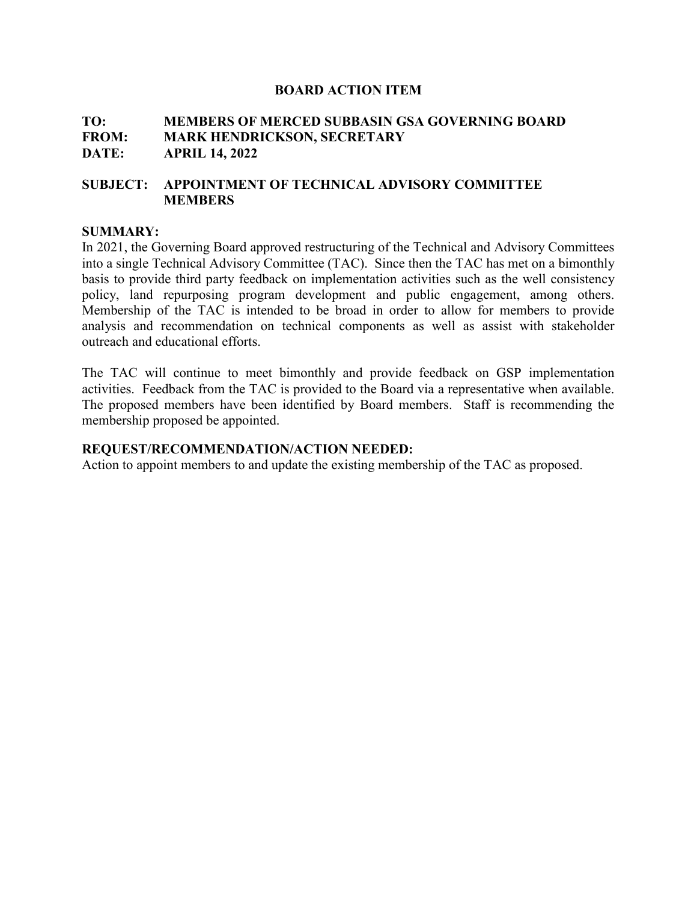# **TO: MEMBERS OF MERCED SUBBASIN GSA GOVERNING BOARD MARK HENDRICKSON, SECRETARY DATE: APRIL 14, 2022**

# **SUBJECT: APPOINTMENT OF TECHNICAL ADVISORY COMMITTEE MEMBERS**

#### **SUMMARY:**

In 2021, the Governing Board approved restructuring of the Technical and Advisory Committees into a single Technical Advisory Committee (TAC). Since then the TAC has met on a bimonthly basis to provide third party feedback on implementation activities such as the well consistency policy, land repurposing program development and public engagement, among others. Membership of the TAC is intended to be broad in order to allow for members to provide analysis and recommendation on technical components as well as assist with stakeholder outreach and educational efforts.

The TAC will continue to meet bimonthly and provide feedback on GSP implementation activities. Feedback from the TAC is provided to the Board via a representative when available. The proposed members have been identified by Board members. Staff is recommending the membership proposed be appointed.

#### **REQUEST/RECOMMENDATION/ACTION NEEDED:**

Action to appoint members to and update the existing membership of the TAC as proposed.